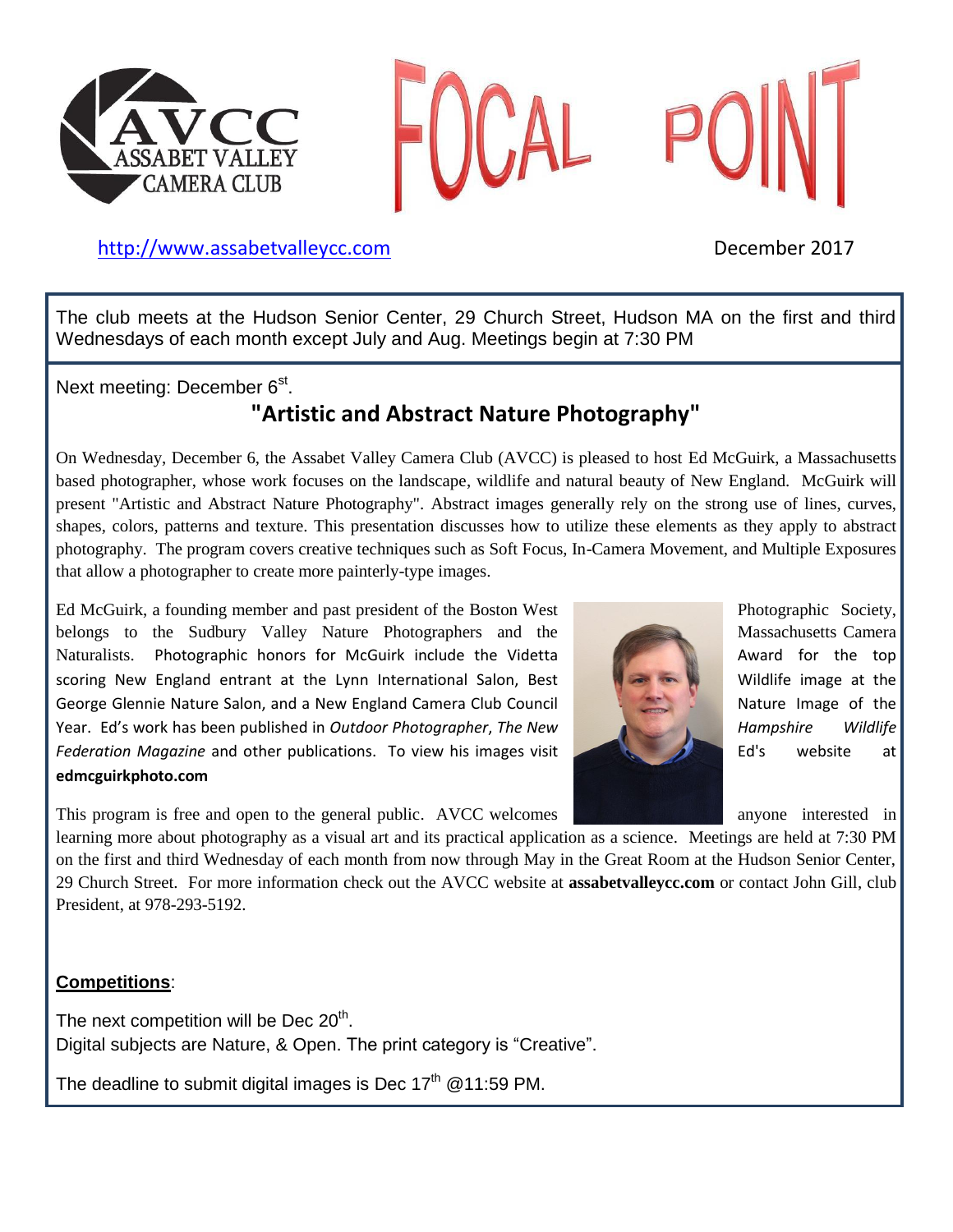



### [http://www.assabetvalleyc](http://www.assabetvalley/)c.com December 2017

The club meets at the Hudson Senior Center, 29 Church Street, Hudson MA on the first and third Wednesdays of each month except July and Aug. Meetings begin at 7:30 PM

Next meeting: December 6<sup>st</sup>.

### **"Artistic and Abstract Nature Photography"**

On Wednesday, December 6, the Assabet Valley Camera Club (AVCC) is pleased to host Ed McGuirk, a Massachusetts based photographer, whose work focuses on the landscape, wildlife and natural beauty of New England. McGuirk will present "Artistic and Abstract Nature Photography". Abstract images generally rely on the strong use of lines, curves, shapes, colors, patterns and texture. This presentation discusses how to utilize these elements as they apply to abstract photography. The program covers creative techniques such as Soft Focus, In-Camera Movement, and Multiple Exposures that allow a photographer to create more painterly-type images.

Ed McGuirk, a founding member and past president of the Boston West Photographic Society, belongs to the Sudbury Valley Nature Photographers and the Massachusetts Camera Naturalists. Photographic honors for McGuirk include the Videtta Award for the top scoring New England entrant at the Lynn International Salon, Best Wildlife image at the George Glennie Nature Salon, and a New England Camera Club Council Nature Image of the Year. Ed's work has been published in *Outdoor Photographer*, *The New* Hampshire *Wildlife Federation Magazine* and other publications. To view his images visit **Editional Constitution** Ed's website at **edmcguirkphoto.com**



This program is free and open to the general public. AVCC welcomes anyone interested in

learning more about photography as a visual art and its practical application as a science. Meetings are held at 7:30 PM on the first and third Wednesday of each month from now through May in the Great Room at the Hudson Senior Center, 29 Church Street. For more information check out the AVCC website at **assabetvalleycc.com** or contact John Gill, club President, at 978-293-5192.

### **Competitions**:

The next competition will be Dec  $20<sup>th</sup>$ . Digital subjects are Nature, & Open. The print category is "Creative".

The deadline to submit digital images is Dec  $17<sup>th</sup>$  @11:59 PM.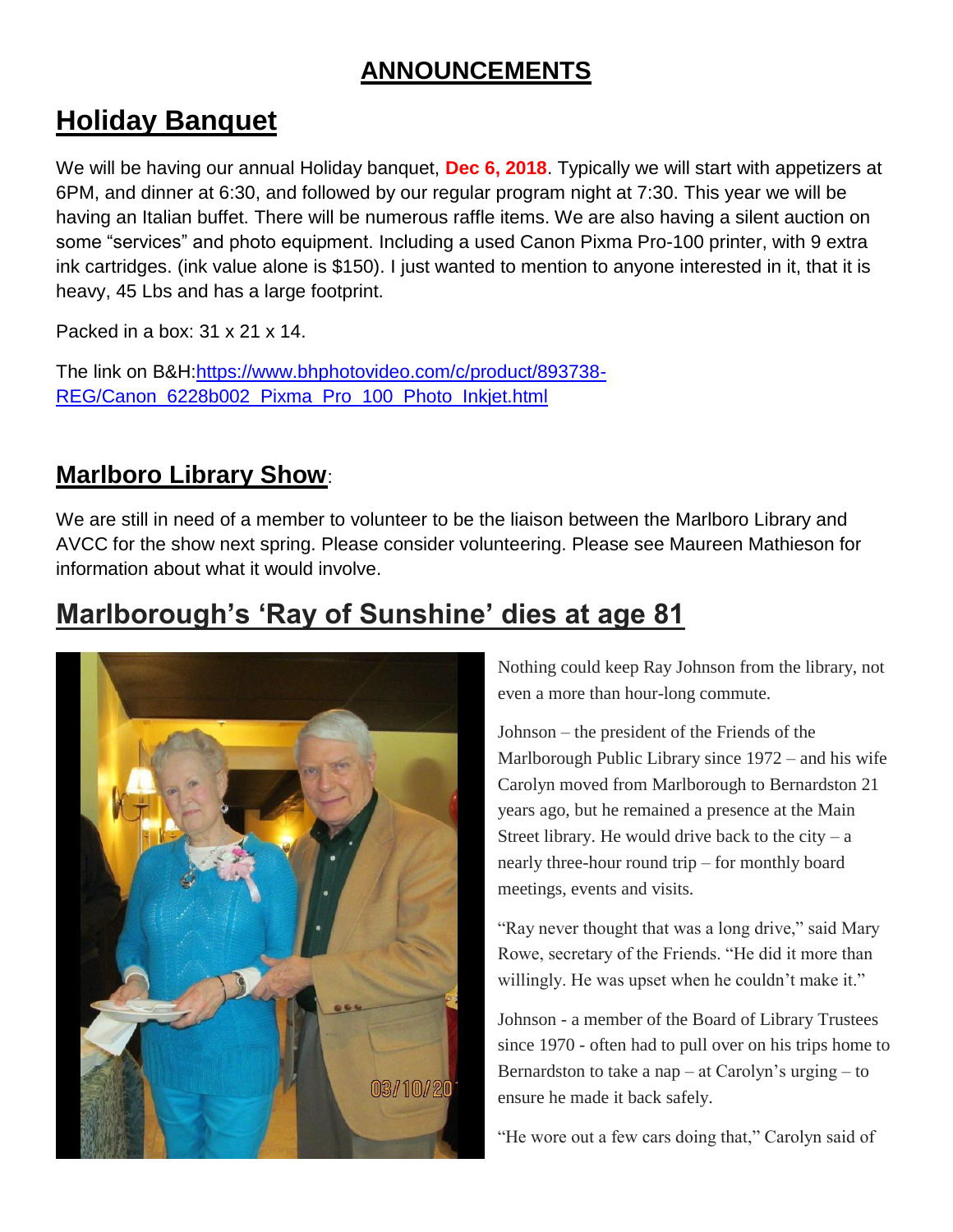# **ANNOUNCEMENTS**

# **Holiday Banquet**

We will be having our annual Holiday banquet, **Dec 6, 2018**. Typically we will start with appetizers at 6PM, and dinner at 6:30, and followed by our regular program night at 7:30. This year we will be having an Italian buffet. There will be numerous raffle items. We are also having a silent auction on some "services" and photo equipment. Including a used Canon Pixma Pro-100 printer, with 9 extra ink cartridges. (ink value alone is \$150). I just wanted to mention to anyone interested in it, that it is heavy, 45 Lbs and has a large footprint.

Packed in a box: 31 x 21 x 14.

The link on B&H[:https://www.bhphotovideo.com/c/product/893738-](https://www.bhphotovideo.com/c/product/893738-REG/Canon_6228b002_Pixma_Pro_100_Photo_Inkjet.html) [REG/Canon\\_6228b002\\_Pixma\\_Pro\\_100\\_Photo\\_Inkjet.html](https://www.bhphotovideo.com/c/product/893738-REG/Canon_6228b002_Pixma_Pro_100_Photo_Inkjet.html)

## **Marlboro Library Show**:

We are still in need of a member to volunteer to be the liaison between the Marlboro Library and AVCC for the show next spring. Please consider volunteering. Please see Maureen Mathieson for information about what it would involve.

# **Marlborough's 'Ray of Sunshine' dies at age 81**



Nothing could keep Ray Johnson from the library, not even a more than hour-long commute.

Johnson – the president of the Friends of the Marlborough Public Library since 1972 – and his wife Carolyn moved from Marlborough to Bernardston 21 years ago, but he remained a presence at the Main Street library. He would drive back to the city  $- a$ nearly three-hour round trip – for monthly board meetings, events and visits.

"Ray never thought that was a long drive," said Mary Rowe, secretary of the Friends. "He did it more than willingly. He was upset when he couldn't make it."

Johnson - a member of the Board of Library Trustees since 1970 - often had to pull over on his trips home to Bernardston to take a nap – at Carolyn's urging – to ensure he made it back safely.

"He wore out a few cars doing that," Carolyn said of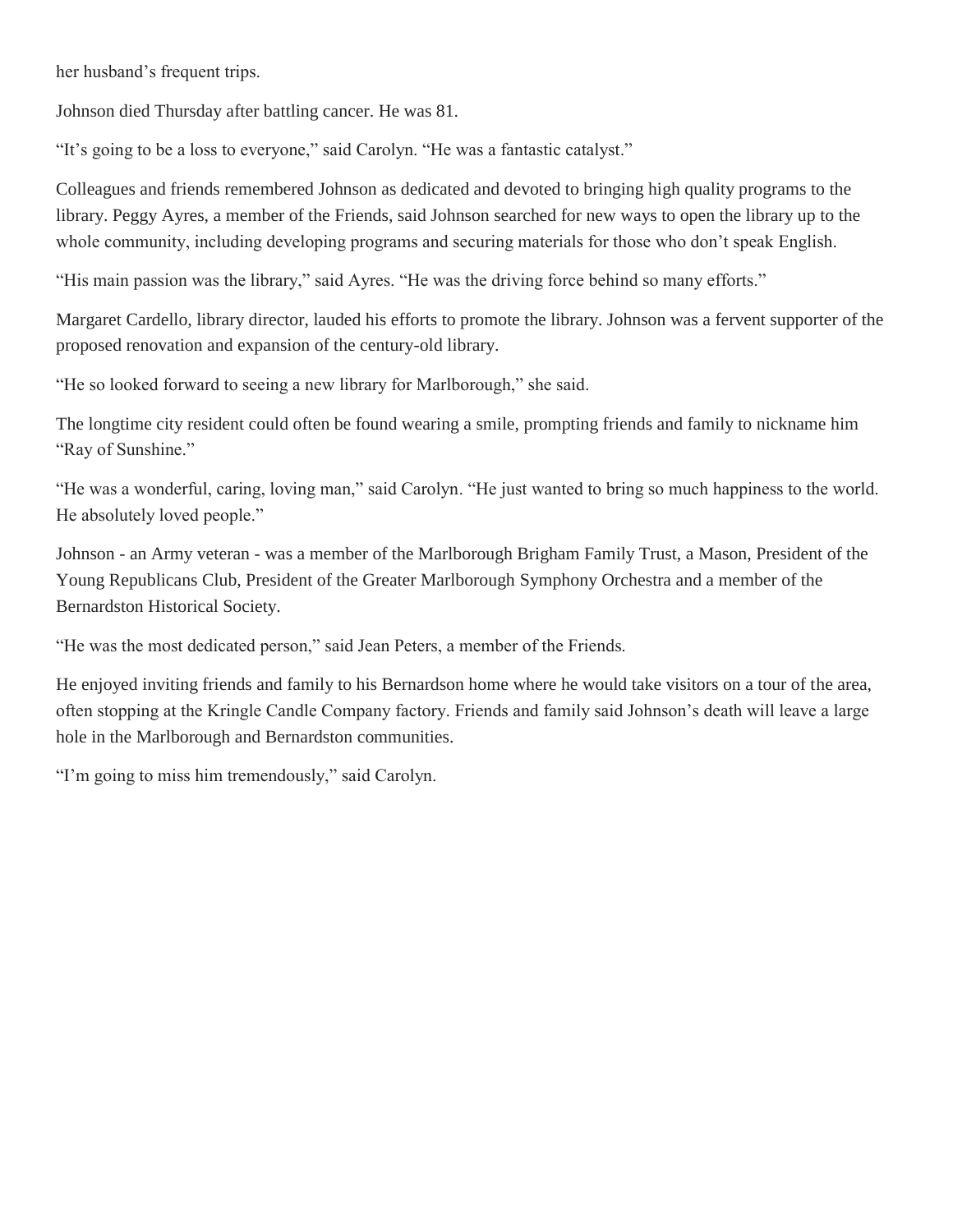her husband's frequent trips.

Johnson died Thursday after battling cancer. He was 81.

"It's going to be a loss to everyone," said Carolyn. "He was a fantastic catalyst."

Colleagues and friends remembered Johnson as dedicated and devoted to bringing high quality programs to the library. Peggy Ayres, a member of the Friends, said Johnson searched for new ways to open the library up to the whole community, including developing programs and securing materials for those who don't speak English.

"His main passion was the library," said Ayres. "He was the driving force behind so many efforts."

Margaret Cardello, library director, lauded his efforts to promote the library. Johnson was a fervent supporter of the proposed renovation and expansion of the century-old library.

"He so looked forward to seeing a new library for Marlborough," she said.

The longtime city resident could often be found wearing a smile, prompting friends and family to nickname him "Ray of Sunshine."

"He was a wonderful, caring, loving man," said Carolyn. "He just wanted to bring so much happiness to the world. He absolutely loved people."

Johnson - an Army veteran - was a member of the Marlborough Brigham Family Trust, a Mason, President of the Young Republicans Club, President of the Greater Marlborough Symphony Orchestra and a member of the Bernardston Historical Society.

"He was the most dedicated person," said Jean Peters, a member of the Friends.

He enjoyed inviting friends and family to his Bernardson home where he would take visitors on a tour of the area, often stopping at the Kringle Candle Company factory. Friends and family said Johnson's death will leave a large hole in the Marlborough and Bernardston communities.

"I'm going to miss him tremendously," said Carolyn.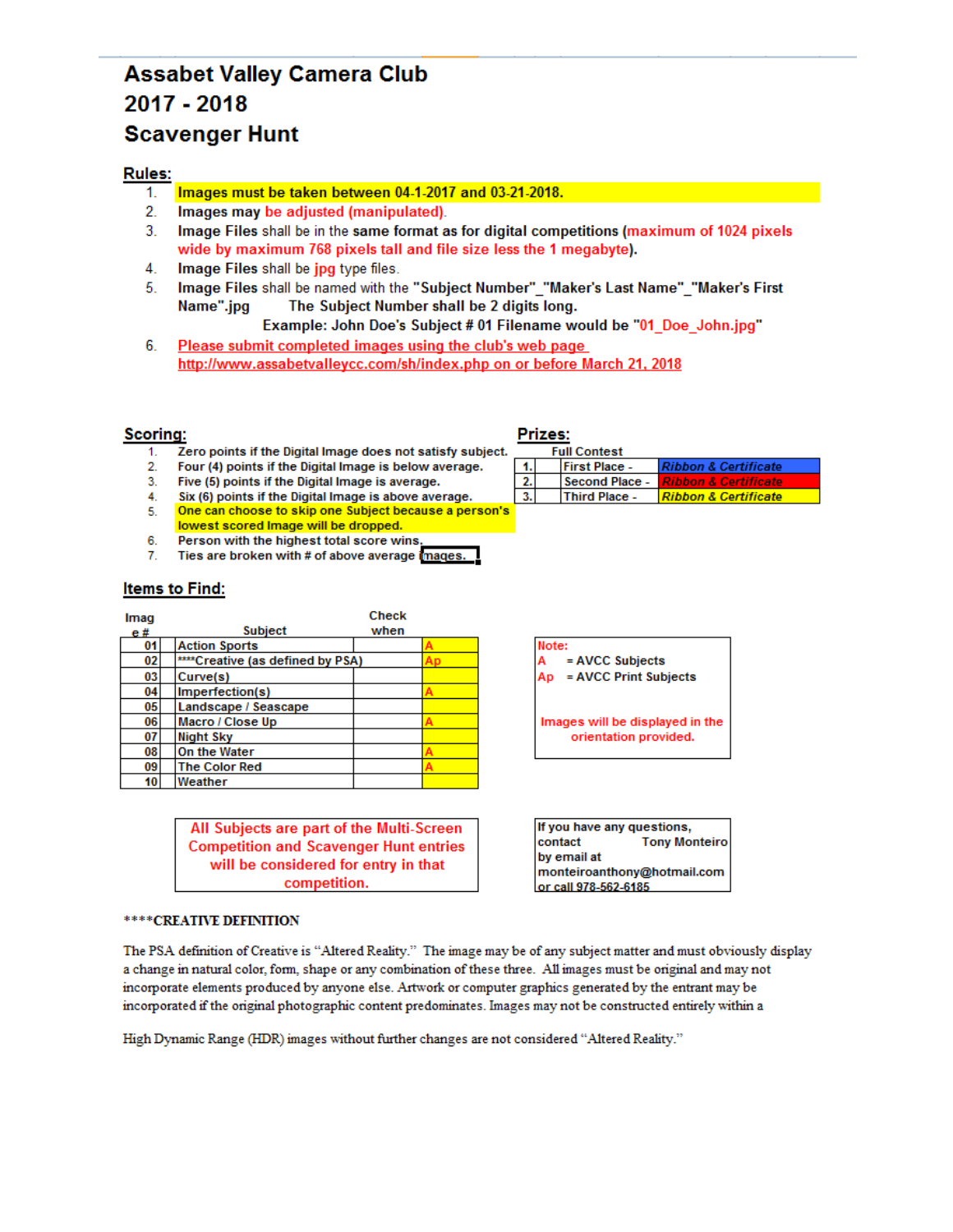### **Assabet Valley Camera Club** 2017 - 2018 **Scavenger Hunt**

### **Rules:**

- Images must be taken between 04-1-2017 and 03-21-2018. 1.
- $2.$ Images may be adjusted (manipulated).
- $3<sub>1</sub>$ Image Files shall be in the same format as for digital competitions (maximum of 1024 pixels wide by maximum 768 pixels tall and file size less the 1 megabyte).
- 4. Image Files shall be jpg type files.
- 5. Image Files shall be named with the "Subject Number" "Maker's Last Name" "Maker's First Name".jpg The Subject Number shall be 2 digits long.

Example: John Doe's Subject # 01 Filename would be "01\_Doe\_John.jpg"

6. Please submit completed images using the club's web page http://www.assabetvalleycc.com/sh/index.php on or before March 21, 2018

### **Scoring:**

- Zero points if the Digital Image does not satisfy subject.  $1<sup>1</sup>$
- $2.$ Four (4) points if the Digital Image is below average.
- Five (5) points if the Digital Image is average.  $3.$
- Six (6) points if the Digital Image is above average.  $4.$
- One can choose to skip one Subject because a person's 5.
- lowest scored Image will be dropped. 6.
- Person with the highest total score wins  $7.$ Ties are broken with # of above average images.

### **Items to Find:**

| Imag |                                  | <b>Check</b> |  |
|------|----------------------------------|--------------|--|
| e#   | <b>Subject</b>                   | when         |  |
| 01   | <b>Action Sports</b>             |              |  |
| 02   | ****Creative (as defined by PSA) |              |  |
| 03   | Curve(s)                         |              |  |
| 04   | Imperfection(s)                  |              |  |
| 05   | Landscape / Seascape             |              |  |
| 06   | Macro / Close Up                 |              |  |
| 07   | <b>Night Sky</b>                 |              |  |
| 08   | On the Water                     |              |  |
| 09   | <b>The Color Red</b>             |              |  |
| 10   | Weather                          |              |  |

All Subjects are part of the Multi-Screen **Competition and Scavenger Hunt entries** will be considered for entry in that competition.

#### \*\*\*\* CREATIVE DEFINITION

The PSA definition of Creative is "Altered Reality." The image may be of any subject matter and must obviously display a change in natural color, form, shape or any combination of these three. All images must be original and may not incorporate elements produced by anyone else. Artwork or computer graphics generated by the entrant may be incorporated if the original photographic content predominates. Images may not be constructed entirely within a

High Dynamic Range (HDR) images without further changes are not considered "Altered Reality."

### Prizes:

|  | <b>Full Contest</b>  |                                    |
|--|----------------------|------------------------------------|
|  | <b>First Place -</b> | <b>Ribbon &amp; Certificate</b>    |
|  | Second Place -       | <u> I Ribbon &amp; Certificate</u> |
|  | <b>Third Place -</b> | Ribbon & Certificate               |

Note: = AVCC Subjects = AVCC Print Subjects Ap

Images will be displayed in the orientation provided.

If you have any questions, contact **Tony Monteiro** by email at monteiroanthony@hotmail.com or call 978-562-6185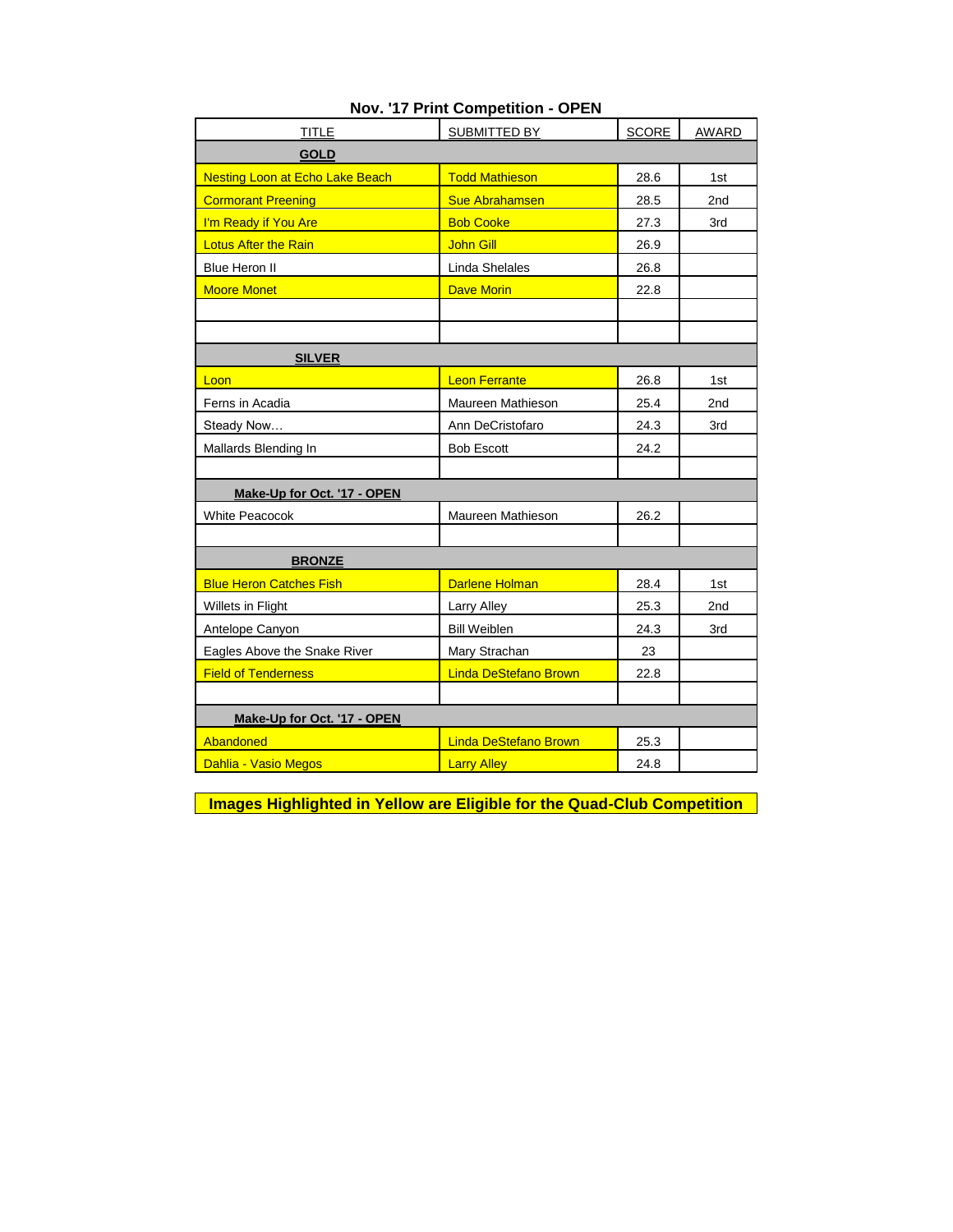| <b>TITLE</b>                           | <b>SUBMITTED BY</b>          | <b>SCORE</b> | <b>AWARD</b> |
|----------------------------------------|------------------------------|--------------|--------------|
| <b>GOLD</b>                            |                              |              |              |
| <b>Nesting Loon at Echo Lake Beach</b> | <b>Todd Mathieson</b>        | 28.6         | 1st          |
| <b>Cormorant Preening</b>              | <b>Sue Abrahamsen</b>        | 28.5         | 2nd          |
| I'm Ready if You Are                   | <b>Bob Cooke</b>             | 27.3         | 3rd          |
| <b>Lotus After the Rain</b>            | <b>John Gill</b>             | 26.9         |              |
| Blue Heron II                          | Linda Shelales               | 26.8         |              |
| <b>Moore Monet</b>                     | <b>Dave Morin</b>            | 22.8         |              |
|                                        |                              |              |              |
|                                        |                              |              |              |
| <b>SILVER</b>                          |                              |              |              |
| Loon                                   | <b>Leon Ferrante</b>         | 26.8         | 1st          |
| Ferns in Acadia                        | Maureen Mathieson            | 25.4         | 2nd          |
| Steady Now                             | Ann DeCristofaro             | 24.3         | 3rd          |
| Mallards Blending In                   | <b>Bob Escott</b>            | 24.2         |              |
|                                        |                              |              |              |
| Make-Up for Oct. '17 - OPEN            |                              |              |              |
| <b>White Peacocok</b>                  | Maureen Mathieson            | 26.2         |              |
|                                        |                              |              |              |
| <b>BRONZE</b>                          |                              |              |              |
| <b>Blue Heron Catches Fish</b>         | <b>Darlene Holman</b>        | 28.4         | 1st          |
| Willets in Flight                      | Larry Alley                  | 25.3         | 2nd          |
| Antelope Canyon                        | <b>Bill Weiblen</b>          | 24.3         | 3rd          |
| Eagles Above the Snake River           | Mary Strachan                | 23           |              |
| <b>Field of Tenderness</b>             | <b>Linda DeStefano Brown</b> | 22.8         |              |
|                                        |                              |              |              |
| Make-Up for Oct. '17 - OPEN            |                              |              |              |
| Abandoned                              | <b>Linda DeStefano Brown</b> | 25.3         |              |
| Dahlia - Vasio Megos                   | <b>Larry Alley</b>           | 24.8         |              |

### **Nov. '17 Print Competition - OPEN**

**Images Highlighted in Yellow are Eligible for the Quad-Club Competition**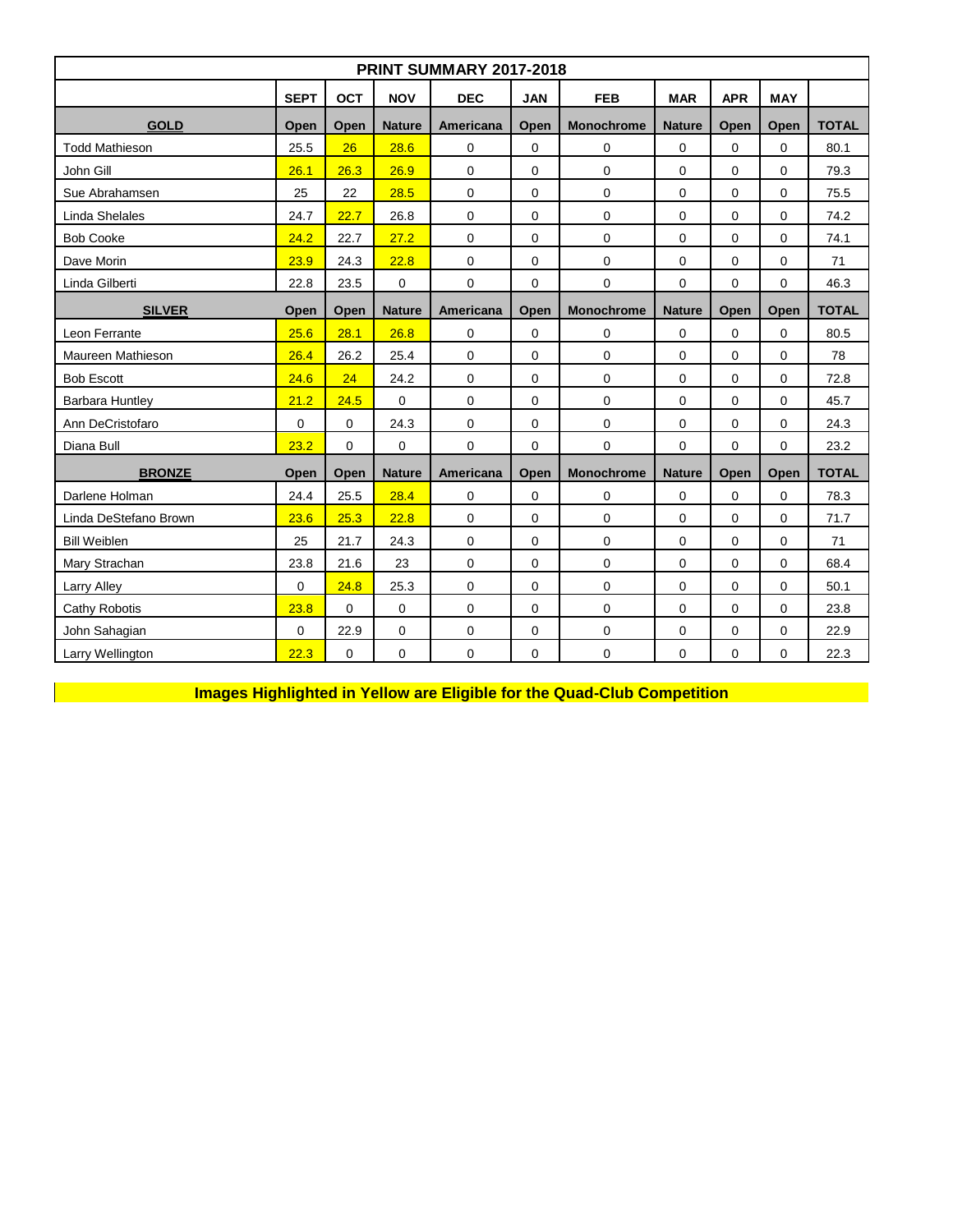| PRINT SUMMARY 2017-2018 |                                            |             |               |                   |                  |                     |               |              |              |              |  |  |
|-------------------------|--------------------------------------------|-------------|---------------|-------------------|------------------|---------------------|---------------|--------------|--------------|--------------|--|--|
|                         | <b>SEPT</b>                                | <b>OCT</b>  | <b>NOV</b>    | <b>DEC</b>        | <b>JAN</b>       | <b>FEB</b>          | <b>MAR</b>    | <b>APR</b>   | <b>MAY</b>   |              |  |  |
| <b>GOLD</b>             | Open<br><b>Nature</b><br>Americana<br>Open |             | Open          | <b>Monochrome</b> | <b>Nature</b>    | Open                | Open          | <b>TOTAL</b> |              |              |  |  |
| <b>Todd Mathieson</b>   | 25.5                                       | 26          | 28.6          | $\mathbf 0$       | 0                | 0                   | 0             | $\mathbf 0$  | $\mathbf 0$  | 80.1         |  |  |
| John Gill               | 26.1                                       | 26.3        | 26.9          | $\mathbf 0$       | $\pmb{0}$        | $\mathbf 0$         | 0             | $\mathbf 0$  | 0            | 79.3         |  |  |
| Sue Abrahamsen          | 25                                         | 22          | 28.5          | $\pmb{0}$         | $\boldsymbol{0}$ | $\mathbf 0$         | $\mathbf 0$   | $\mathbf 0$  | 0            | 75.5         |  |  |
| Linda Shelales          | 24.7                                       | 22.7        | 26.8          | $\mathbf 0$       | 0                | $\mathbf 0$         | $\Omega$      | $\Omega$     | $\Omega$     | 74.2         |  |  |
| <b>Bob Cooke</b>        | 24.2                                       | 22.7        | 27.2          | $\mathbf 0$       | 0                | $\mathbf 0$         | 0             | $\mathbf 0$  | 0            | 74.1         |  |  |
| Dave Morin              | 23.9                                       | 24.3        | 22.8          | $\mathbf 0$       | 0                | $\mathbf 0$         | 0             | $\mathbf 0$  | 0            | 71           |  |  |
| Linda Gilberti          | 22.8                                       | 23.5        | 0             | 0                 | 0                | 0                   | 0             | $\mathbf 0$  | 0            | 46.3         |  |  |
| <b>SILVER</b>           | Open                                       | Open        | <b>Nature</b> | Americana         | Open             | <b>Monochrome</b>   | <b>Nature</b> | Open         | Open         | <b>TOTAL</b> |  |  |
| Leon Ferrante           | 25.6                                       | 28.1        | 26.8          | $\mathbf 0$       | 0                | 0                   | $\mathbf 0$   | $\mathbf 0$  | 0            | 80.5         |  |  |
| Maureen Mathieson       | 26.4                                       | 26.2        | 25.4          | $\mathbf 0$       | 0                | $\Omega$            | $\Omega$      | $\Omega$     | $\Omega$     | 78           |  |  |
| <b>Bob Escott</b>       | 24.6                                       | 24          | 24.2          | $\mathbf 0$       | $\boldsymbol{0}$ | $\pmb{0}$           | $\mathbf 0$   | $\mathbf 0$  | 0            | 72.8         |  |  |
| <b>Barbara Huntley</b>  | 21.2                                       | 24.5        | $\mathbf 0$   | $\mathbf 0$       | 0                | $\mathbf 0$         | $\mathbf 0$   | $\mathbf 0$  | 0            | 45.7         |  |  |
| Ann DeCristofaro        | $\mathbf 0$                                | $\mathbf 0$ | 24.3          | $\mathbf 0$       | 0                | $\mathbf 0$         | 0             | $\mathbf 0$  | 0            | 24.3         |  |  |
| Diana Bull              | 23.2                                       | $\mathbf 0$ | 0             | $\pmb{0}$         | $\boldsymbol{0}$ | $\mathsf 0$         | $\mathbf 0$   | 0            | 0            | 23.2         |  |  |
| <b>BRONZE</b>           | Open                                       | Open        | <b>Nature</b> | <b>Americana</b>  | Open             | <b>Monochrome</b>   | <b>Nature</b> | Open         | Open         | <b>TOTAL</b> |  |  |
| Darlene Holman          | 24.4                                       | 25.5        | 28.4          | $\pmb{0}$         | $\boldsymbol{0}$ | $\mathbf 0$         | $\mathbf 0$   | 0            | $\Omega$     | 78.3         |  |  |
| Linda DeStefano Brown   | 23.6                                       | 25.3        | 22.8          | $\mathbf 0$       | $\mathbf 0$      | $\mathbf 0$         | $\mathbf 0$   | 0            | $\mathbf{0}$ | 71.7         |  |  |
| <b>Bill Weiblen</b>     | 25                                         | 21.7        | 24.3          | $\mathbf 0$       | 0                | $\mathbf 0$         | 0             | $\mathbf 0$  | 0            | 71           |  |  |
| Mary Strachan           | 23.8                                       | 21.6        | 23            | $\mathbf 0$       | $\boldsymbol{0}$ | $\mathbf 0$         | 0             | $\mathbf 0$  | 0            | 68.4         |  |  |
| Larry Alley             | $\mathbf 0$                                | 24.8        | 25.3          | 0                 | 0                | $\mathbf 0$         | 0             | $\mathbf 0$  | 0            | 50.1         |  |  |
| Cathy Robotis           | 23.8                                       | $\Omega$    | $\mathbf 0$   | $\mathbf 0$       | $\mathbf 0$      | $\mathbf 0$         | $\mathbf 0$   | $\Omega$     | 0            | 23.8         |  |  |
| John Sahagian           | 0                                          | 22.9        | $\mathbf 0$   | $\pmb{0}$         | 0                | $\mathsf{O}\xspace$ | 0             | 0            | 0            | 22.9         |  |  |
| Larry Wellington        | 22.3                                       | 0           | 0             | $\mathbf 0$       | 0                | $\mathbf 0$         | $\mathbf 0$   | $\mathbf 0$  | 0            | 22.3         |  |  |

**Images Highlighted in Yellow are Eligible for the Quad-Club Competition**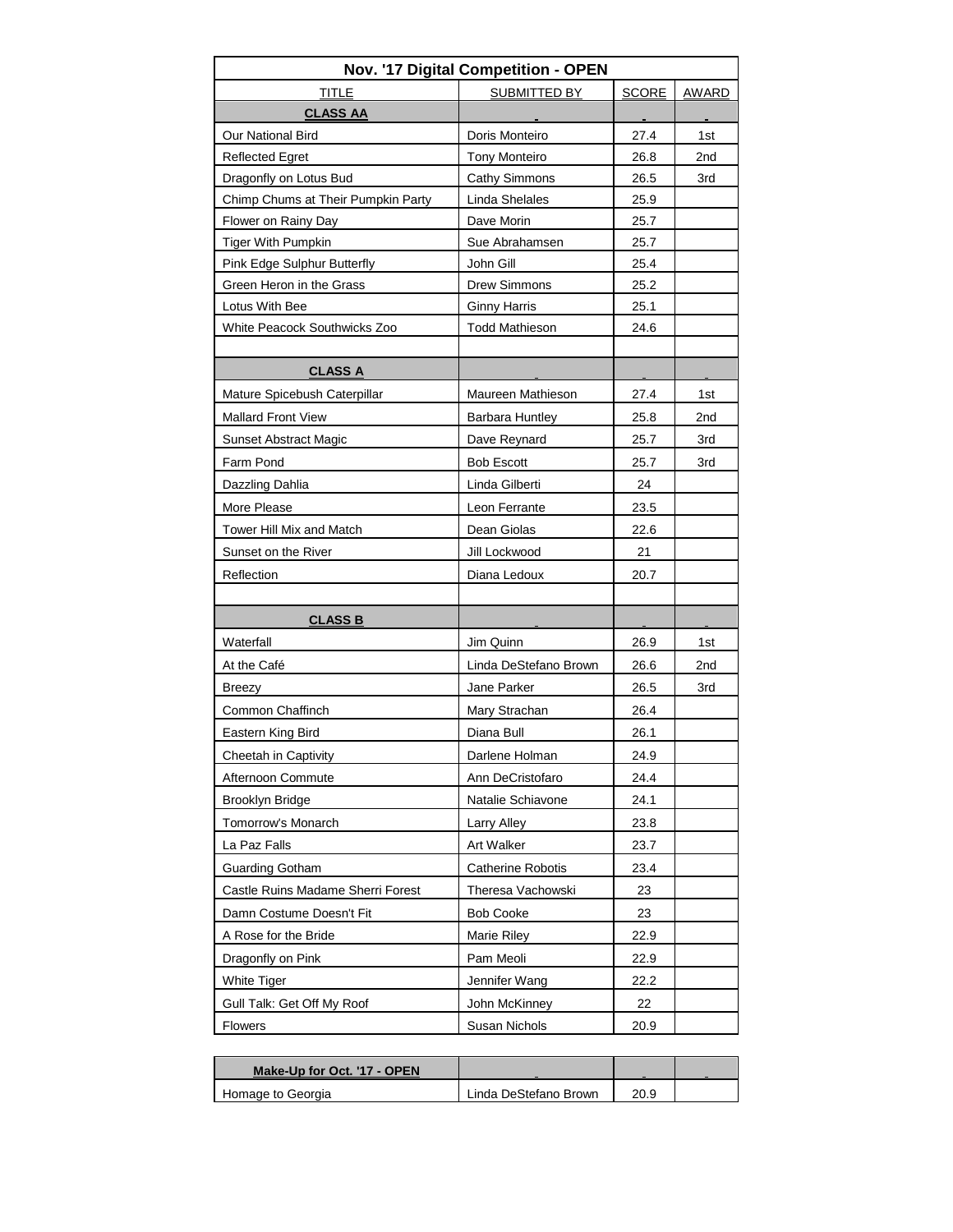| <b>TITLE</b><br>SUBMITTED BY<br><b>SCORE</b><br><b>AWARD</b><br><b>CLASS AA</b><br>Doris Monteiro<br>Our National Bird<br>27.4<br>1st<br><b>Tony Monteiro</b><br><b>Reflected Egret</b><br>26.8<br>2 <sub>nd</sub><br>Dragonfly on Lotus Bud<br>Cathy Simmons<br>26.5<br>3rd<br>Chimp Chums at Their Pumpkin Party<br>Linda Shelales<br>25.9<br>Flower on Rainy Day<br>Dave Morin<br>25.7<br><b>Tiger With Pumpkin</b><br>Sue Abrahamsen<br>25.7<br>Pink Edge Sulphur Butterfly<br>John Gill<br>25.4<br>Green Heron in the Grass<br><b>Drew Simmons</b><br>25.2<br>Lotus With Bee<br><b>Ginny Harris</b><br>25.1<br>White Peacock Southwicks Zoo<br><b>Todd Mathieson</b><br>24.6<br><b>CLASS A</b><br>Maureen Mathieson<br>1st<br>Mature Spicebush Caterpillar<br>27.4<br><b>Mallard Front View</b><br>2nd<br><b>Barbara Huntley</b><br>25.8<br><b>Sunset Abstract Magic</b><br>Dave Reynard<br>25.7<br>3rd<br>Farm Pond<br><b>Bob Escott</b><br>25.7<br>3rd<br>Dazzling Dahlia<br>Linda Gilberti<br>24<br>More Please<br>Leon Ferrante<br>23.5<br>Tower Hill Mix and Match<br>Dean Giolas<br>22.6 |
|-----------------------------------------------------------------------------------------------------------------------------------------------------------------------------------------------------------------------------------------------------------------------------------------------------------------------------------------------------------------------------------------------------------------------------------------------------------------------------------------------------------------------------------------------------------------------------------------------------------------------------------------------------------------------------------------------------------------------------------------------------------------------------------------------------------------------------------------------------------------------------------------------------------------------------------------------------------------------------------------------------------------------------------------------------------------------------------------------------|
|                                                                                                                                                                                                                                                                                                                                                                                                                                                                                                                                                                                                                                                                                                                                                                                                                                                                                                                                                                                                                                                                                                     |
|                                                                                                                                                                                                                                                                                                                                                                                                                                                                                                                                                                                                                                                                                                                                                                                                                                                                                                                                                                                                                                                                                                     |
|                                                                                                                                                                                                                                                                                                                                                                                                                                                                                                                                                                                                                                                                                                                                                                                                                                                                                                                                                                                                                                                                                                     |
|                                                                                                                                                                                                                                                                                                                                                                                                                                                                                                                                                                                                                                                                                                                                                                                                                                                                                                                                                                                                                                                                                                     |
|                                                                                                                                                                                                                                                                                                                                                                                                                                                                                                                                                                                                                                                                                                                                                                                                                                                                                                                                                                                                                                                                                                     |
|                                                                                                                                                                                                                                                                                                                                                                                                                                                                                                                                                                                                                                                                                                                                                                                                                                                                                                                                                                                                                                                                                                     |
|                                                                                                                                                                                                                                                                                                                                                                                                                                                                                                                                                                                                                                                                                                                                                                                                                                                                                                                                                                                                                                                                                                     |
|                                                                                                                                                                                                                                                                                                                                                                                                                                                                                                                                                                                                                                                                                                                                                                                                                                                                                                                                                                                                                                                                                                     |
|                                                                                                                                                                                                                                                                                                                                                                                                                                                                                                                                                                                                                                                                                                                                                                                                                                                                                                                                                                                                                                                                                                     |
|                                                                                                                                                                                                                                                                                                                                                                                                                                                                                                                                                                                                                                                                                                                                                                                                                                                                                                                                                                                                                                                                                                     |
|                                                                                                                                                                                                                                                                                                                                                                                                                                                                                                                                                                                                                                                                                                                                                                                                                                                                                                                                                                                                                                                                                                     |
|                                                                                                                                                                                                                                                                                                                                                                                                                                                                                                                                                                                                                                                                                                                                                                                                                                                                                                                                                                                                                                                                                                     |
|                                                                                                                                                                                                                                                                                                                                                                                                                                                                                                                                                                                                                                                                                                                                                                                                                                                                                                                                                                                                                                                                                                     |
|                                                                                                                                                                                                                                                                                                                                                                                                                                                                                                                                                                                                                                                                                                                                                                                                                                                                                                                                                                                                                                                                                                     |
|                                                                                                                                                                                                                                                                                                                                                                                                                                                                                                                                                                                                                                                                                                                                                                                                                                                                                                                                                                                                                                                                                                     |
|                                                                                                                                                                                                                                                                                                                                                                                                                                                                                                                                                                                                                                                                                                                                                                                                                                                                                                                                                                                                                                                                                                     |
|                                                                                                                                                                                                                                                                                                                                                                                                                                                                                                                                                                                                                                                                                                                                                                                                                                                                                                                                                                                                                                                                                                     |
|                                                                                                                                                                                                                                                                                                                                                                                                                                                                                                                                                                                                                                                                                                                                                                                                                                                                                                                                                                                                                                                                                                     |
|                                                                                                                                                                                                                                                                                                                                                                                                                                                                                                                                                                                                                                                                                                                                                                                                                                                                                                                                                                                                                                                                                                     |
|                                                                                                                                                                                                                                                                                                                                                                                                                                                                                                                                                                                                                                                                                                                                                                                                                                                                                                                                                                                                                                                                                                     |
|                                                                                                                                                                                                                                                                                                                                                                                                                                                                                                                                                                                                                                                                                                                                                                                                                                                                                                                                                                                                                                                                                                     |
| 21<br>Sunset on the River<br>Jill Lockwood                                                                                                                                                                                                                                                                                                                                                                                                                                                                                                                                                                                                                                                                                                                                                                                                                                                                                                                                                                                                                                                          |
| Diana Ledoux<br>Reflection<br>20.7                                                                                                                                                                                                                                                                                                                                                                                                                                                                                                                                                                                                                                                                                                                                                                                                                                                                                                                                                                                                                                                                  |
|                                                                                                                                                                                                                                                                                                                                                                                                                                                                                                                                                                                                                                                                                                                                                                                                                                                                                                                                                                                                                                                                                                     |
| <b>CLASS B</b>                                                                                                                                                                                                                                                                                                                                                                                                                                                                                                                                                                                                                                                                                                                                                                                                                                                                                                                                                                                                                                                                                      |
| Waterfall<br>Jim Quinn<br>26.9<br>1st                                                                                                                                                                                                                                                                                                                                                                                                                                                                                                                                                                                                                                                                                                                                                                                                                                                                                                                                                                                                                                                               |
| At the Café<br>Linda DeStefano Brown<br>26.6<br>2nd                                                                                                                                                                                                                                                                                                                                                                                                                                                                                                                                                                                                                                                                                                                                                                                                                                                                                                                                                                                                                                                 |
| Jane Parker<br>3rd<br><b>Breezy</b><br>26.5                                                                                                                                                                                                                                                                                                                                                                                                                                                                                                                                                                                                                                                                                                                                                                                                                                                                                                                                                                                                                                                         |
| Common Chaffinch<br>Mary Strachan<br>26.4                                                                                                                                                                                                                                                                                                                                                                                                                                                                                                                                                                                                                                                                                                                                                                                                                                                                                                                                                                                                                                                           |
| Diana Bull<br>Eastern King Bird<br>26.1                                                                                                                                                                                                                                                                                                                                                                                                                                                                                                                                                                                                                                                                                                                                                                                                                                                                                                                                                                                                                                                             |
| Cheetah in Captivity<br>Darlene Holman<br>24.9                                                                                                                                                                                                                                                                                                                                                                                                                                                                                                                                                                                                                                                                                                                                                                                                                                                                                                                                                                                                                                                      |
| Afternoon Commute<br>Ann DeCristofaro<br>24.4                                                                                                                                                                                                                                                                                                                                                                                                                                                                                                                                                                                                                                                                                                                                                                                                                                                                                                                                                                                                                                                       |
| <b>Brooklyn Bridge</b><br>Natalie Schiavone<br>24.1                                                                                                                                                                                                                                                                                                                                                                                                                                                                                                                                                                                                                                                                                                                                                                                                                                                                                                                                                                                                                                                 |
| Tomorrow's Monarch<br>Larry Alley<br>23.8                                                                                                                                                                                                                                                                                                                                                                                                                                                                                                                                                                                                                                                                                                                                                                                                                                                                                                                                                                                                                                                           |
| La Paz Falls<br>Art Walker<br>23.7                                                                                                                                                                                                                                                                                                                                                                                                                                                                                                                                                                                                                                                                                                                                                                                                                                                                                                                                                                                                                                                                  |
| <b>Guarding Gotham</b><br>Catherine Robotis<br>23.4                                                                                                                                                                                                                                                                                                                                                                                                                                                                                                                                                                                                                                                                                                                                                                                                                                                                                                                                                                                                                                                 |
| Castle Ruins Madame Sherri Forest<br>Theresa Vachowski<br>23                                                                                                                                                                                                                                                                                                                                                                                                                                                                                                                                                                                                                                                                                                                                                                                                                                                                                                                                                                                                                                        |
| Damn Costume Doesn't Fit<br><b>Bob Cooke</b><br>23                                                                                                                                                                                                                                                                                                                                                                                                                                                                                                                                                                                                                                                                                                                                                                                                                                                                                                                                                                                                                                                  |
| A Rose for the Bride<br>Marie Riley<br>22.9                                                                                                                                                                                                                                                                                                                                                                                                                                                                                                                                                                                                                                                                                                                                                                                                                                                                                                                                                                                                                                                         |
| Pam Meoli<br>Dragonfly on Pink<br>22.9                                                                                                                                                                                                                                                                                                                                                                                                                                                                                                                                                                                                                                                                                                                                                                                                                                                                                                                                                                                                                                                              |
| White Tiger<br>Jennifer Wang<br>22.2                                                                                                                                                                                                                                                                                                                                                                                                                                                                                                                                                                                                                                                                                                                                                                                                                                                                                                                                                                                                                                                                |
| Gull Talk: Get Off My Roof<br>John McKinney<br>22                                                                                                                                                                                                                                                                                                                                                                                                                                                                                                                                                                                                                                                                                                                                                                                                                                                                                                                                                                                                                                                   |
| Flowers<br>Susan Nichols<br>20.9                                                                                                                                                                                                                                                                                                                                                                                                                                                                                                                                                                                                                                                                                                                                                                                                                                                                                                                                                                                                                                                                    |

| Make-Up for Oct. '17 - OPEN |                       |      |  |
|-----------------------------|-----------------------|------|--|
| Homage to Georgia           | Linda DeStefano Brown | 20.9 |  |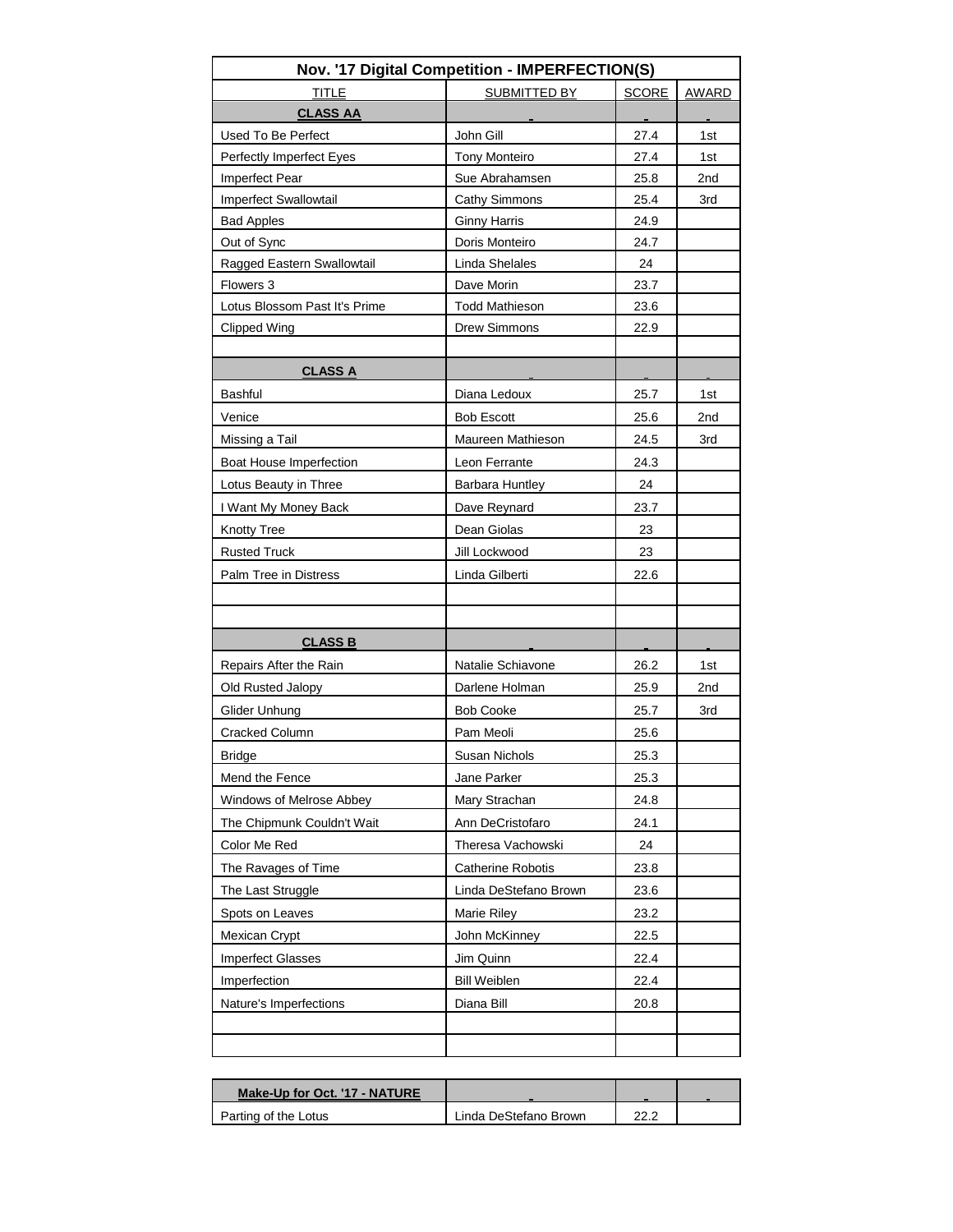|                               | Nov. '17 Digital Competition - IMPERFECTION(S) |              |              |
|-------------------------------|------------------------------------------------|--------------|--------------|
| <b>TITLE</b>                  | SUBMITTED BY                                   | <b>SCORE</b> | <b>AWARD</b> |
| <b>CLASS AA</b>               |                                                |              |              |
| Used To Be Perfect            | John Gill                                      | 27.4         | 1st          |
| Perfectly Imperfect Eyes      | <b>Tony Monteiro</b>                           | 27.4         | 1st          |
| Imperfect Pear                | Sue Abrahamsen                                 | 25.8         | 2nd          |
| Imperfect Swallowtail         | <b>Cathy Simmons</b>                           | 25.4         | 3rd          |
| <b>Bad Apples</b>             | <b>Ginny Harris</b>                            | 24.9         |              |
| Out of Sync                   | Doris Monteiro                                 | 24.7         |              |
| Ragged Eastern Swallowtail    | Linda Shelales                                 | 24           |              |
| Flowers 3                     | Dave Morin                                     | 23.7         |              |
| Lotus Blossom Past It's Prime | <b>Todd Mathieson</b>                          | 23.6         |              |
| Clipped Wing                  | <b>Drew Simmons</b>                            | 22.9         |              |
|                               |                                                |              |              |
| <b>CLASS A</b>                |                                                |              |              |
| <b>Bashful</b>                | Diana Ledoux                                   | 25.7         | 1st          |
| Venice                        | <b>Bob Escott</b>                              | 25.6         | 2nd          |
| Missing a Tail                | Maureen Mathieson                              | 24.5         | 3rd          |
| Boat House Imperfection       | Leon Ferrante                                  | 24.3         |              |
| Lotus Beauty in Three         | <b>Barbara Huntley</b>                         | 24           |              |
| I Want My Money Back          | Dave Reynard                                   | 23.7         |              |
| <b>Knotty Tree</b>            | Dean Giolas                                    | 23           |              |
| <b>Rusted Truck</b>           | Jill Lockwood                                  | 23           |              |
| Palm Tree in Distress         | Linda Gilberti                                 | 22.6         |              |
|                               |                                                |              |              |
|                               |                                                |              |              |
| <b>CLASS B</b>                |                                                |              |              |
| Repairs After the Rain        | Natalie Schiavone                              | 26.2         | 1st          |
| Old Rusted Jalopy             | Darlene Holman                                 | 25.9         | 2nd          |
| Glider Unhung                 | <b>Bob Cooke</b>                               | 25.7         | 3rd          |
| <b>Cracked Column</b>         | Pam Meoli                                      | 25.6         |              |
| <b>Bridge</b>                 | <b>Susan Nichols</b>                           | 25.3         |              |
| Mend the Fence                | Jane Parker                                    | 25.3         |              |
| Windows of Melrose Abbey      | Mary Strachan                                  | 24.8         |              |
| The Chipmunk Couldn't Wait    | Ann DeCristofaro                               | 24.1         |              |
| Color Me Red                  | Theresa Vachowski                              | 24           |              |
|                               | <b>Catherine Robotis</b>                       |              |              |
| The Ravages of Time           |                                                | 23.8         |              |
| The Last Struggle             | Linda DeStefano Brown                          | 23.6         |              |
| Spots on Leaves               | Marie Riley                                    | 23.2         |              |
| Mexican Crypt                 | John McKinney                                  | 22.5         |              |
| <b>Imperfect Glasses</b>      | Jim Quinn                                      | 22.4         |              |
| Imperfection                  | <b>Bill Weiblen</b>                            | 22.4         |              |
| Nature's Imperfections        | Diana Bill                                     | 20.8         |              |
|                               |                                                |              |              |
|                               |                                                |              |              |

| Make-Up for Oct. '17 - NATURE |                       |      |  |
|-------------------------------|-----------------------|------|--|
| Parting of the Lotus          | Linda DeStefano Brown | າາ ເ |  |